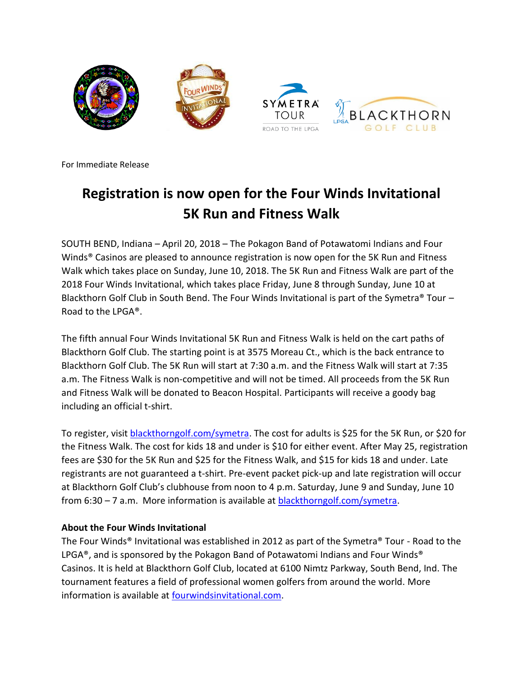

For Immediate Release

# **Registration is now open for the Four Winds Invitational 5K Run and Fitness Walk**

SOUTH BEND, Indiana – April 20, 2018 – The Pokagon Band of Potawatomi Indians and Four Winds® Casinos are pleased to announce registration is now open for the 5K Run and Fitness Walk which takes place on Sunday, June 10, 2018. The 5K Run and Fitness Walk are part of the 2018 Four Winds Invitational, which takes place Friday, June 8 through Sunday, June 10 at Blackthorn Golf Club in South Bend. The Four Winds Invitational is part of the Symetra<sup>®</sup> Tour – Road to the LPGA®.

The fifth annual Four Winds Invitational 5K Run and Fitness Walk is held on the cart paths of Blackthorn Golf Club. The starting point is at 3575 Moreau Ct., which is the back entrance to Blackthorn Golf Club. The 5K Run will start at 7:30 a.m. and the Fitness Walk will start at 7:35 a.m. The Fitness Walk is non-competitive and will not be timed. All proceeds from the 5K Run and Fitness Walk will be donated to Beacon Hospital. Participants will receive a goody bag including an official t-shirt.

To register, visit [blackthorngolf.com/symetra.](https://runsignup.com/Race/IN/SouthBend/FourWindsInvitational5K) The cost for adults is \$25 for the 5K Run, or \$20 for the Fitness Walk. The cost for kids 18 and under is \$10 for either event. After May 25, registration fees are \$30 for the 5K Run and \$25 for the Fitness Walk, and \$15 for kids 18 and under. Late registrants are not guaranteed a t-shirt. Pre-event packet pick-up and late registration will occur at Blackthorn Golf Club's clubhouse from noon to 4 p.m. Saturday, June 9 and Sunday, June 10 from 6:30 – 7 a.m. More information is available at [blackthorngolf.com/symetra.](https://runsignup.com/Race/IN/SouthBend/FourWindsInvitational5K)

## **About the Four Winds Invitational**

The Four Winds® Invitational was established in 2012 as part of the Symetra® Tour - Road to the LPGA<sup>®</sup>, and is sponsored by the Pokagon Band of Potawatomi Indians and Four Winds<sup>®</sup> Casinos. It is held at Blackthorn Golf Club, located at 6100 Nimtz Parkway, South Bend, Ind. The tournament features a field of professional women golfers from around the world. More information is available at **fourwindsinvitational.com**.